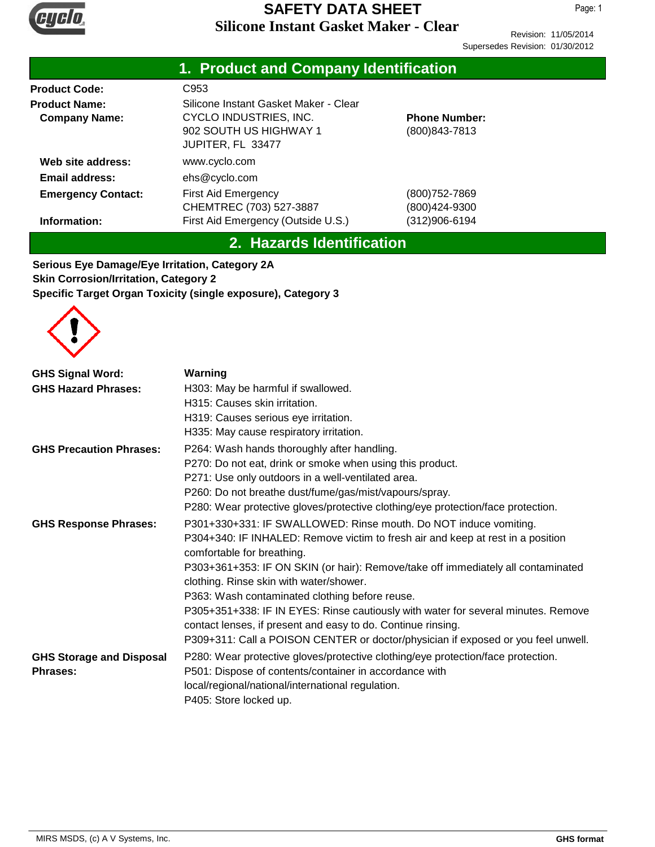

Revision: 11/05/2014 Supersedes Revision: 01/30/2012

|                                              | 1. Product and Company Identification                                                                          |                                        |
|----------------------------------------------|----------------------------------------------------------------------------------------------------------------|----------------------------------------|
| <b>Product Code:</b>                         | C953                                                                                                           |                                        |
| <b>Product Name:</b><br><b>Company Name:</b> | Silicone Instant Gasket Maker - Clear<br>CYCLO INDUSTRIES, INC.<br>902 SOUTH US HIGHWAY 1<br>JUPITER, FL 33477 | <b>Phone Number:</b><br>(800) 843-7813 |
| Web site address:                            | www.cyclo.com                                                                                                  |                                        |
| Email address:                               | ehs@cyclo.com                                                                                                  |                                        |
| <b>Emergency Contact:</b>                    | <b>First Aid Emergency</b><br>CHEMTREC (703) 527-3887                                                          | (800) 752-7869<br>(800)424-9300        |
| Information:                                 | First Aid Emergency (Outside U.S.)                                                                             | (312)906-6194                          |

## **2. Hazards Identification**

**Serious Eye Damage/Eye Irritation, Category 2A Skin Corrosion/Irritation, Category 2 Specific Target Organ Toxicity (single exposure), Category 3**



| <b>GHS Signal Word:</b>                            | Warning                                                                                                                                           |  |  |
|----------------------------------------------------|---------------------------------------------------------------------------------------------------------------------------------------------------|--|--|
| <b>GHS Hazard Phrases:</b>                         | H303: May be harmful if swallowed.                                                                                                                |  |  |
|                                                    | H315: Causes skin irritation.                                                                                                                     |  |  |
|                                                    | H319: Causes serious eye irritation.                                                                                                              |  |  |
|                                                    | H335: May cause respiratory irritation.                                                                                                           |  |  |
| <b>GHS Precaution Phrases:</b>                     | P264: Wash hands thoroughly after handling.                                                                                                       |  |  |
|                                                    | P270: Do not eat, drink or smoke when using this product.                                                                                         |  |  |
|                                                    | P271: Use only outdoors in a well-ventilated area.                                                                                                |  |  |
|                                                    | P260: Do not breathe dust/fume/gas/mist/vapours/spray.                                                                                            |  |  |
|                                                    | P280: Wear protective gloves/protective clothing/eye protection/face protection.                                                                  |  |  |
| <b>GHS Response Phrases:</b>                       | P301+330+331: IF SWALLOWED: Rinse mouth. Do NOT induce vomiting.                                                                                  |  |  |
|                                                    | P304+340: IF INHALED: Remove victim to fresh air and keep at rest in a position<br>comfortable for breathing.                                     |  |  |
|                                                    | P303+361+353: IF ON SKIN (or hair): Remove/take off immediately all contaminated<br>clothing. Rinse skin with water/shower.                       |  |  |
|                                                    | P363: Wash contaminated clothing before reuse.                                                                                                    |  |  |
|                                                    | P305+351+338: IF IN EYES: Rinse cautiously with water for several minutes. Remove<br>contact lenses, if present and easy to do. Continue rinsing. |  |  |
|                                                    | P309+311: Call a POISON CENTER or doctor/physician if exposed or you feel unwell.                                                                 |  |  |
| <b>GHS Storage and Disposal</b><br><b>Phrases:</b> | P280: Wear protective gloves/protective clothing/eye protection/face protection.<br>P501: Dispose of contents/container in accordance with        |  |  |
|                                                    | local/regional/national/international regulation.                                                                                                 |  |  |
|                                                    | P405: Store locked up.                                                                                                                            |  |  |
|                                                    |                                                                                                                                                   |  |  |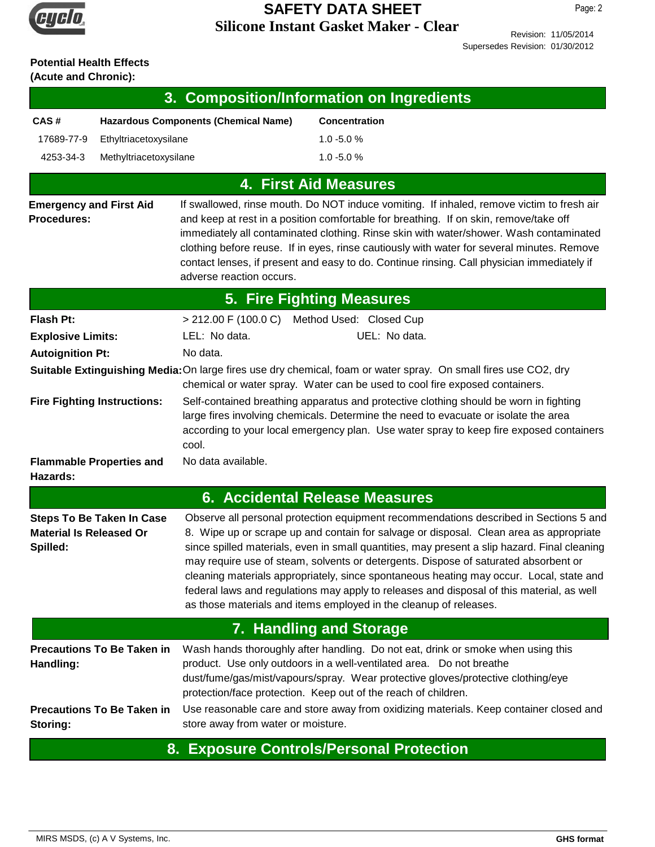

Revision: 11/05/2014

Supersedes Revision: 01/30/2012

# **Potential Health Effects**

**(Acute and Chronic):**

| 3. Composition/Information on Ingredients                                      |                                                                                                                                                                                                                                                                                                                                                                                                                                                                                                                                                                                                                                     |  |  |  |  |
|--------------------------------------------------------------------------------|-------------------------------------------------------------------------------------------------------------------------------------------------------------------------------------------------------------------------------------------------------------------------------------------------------------------------------------------------------------------------------------------------------------------------------------------------------------------------------------------------------------------------------------------------------------------------------------------------------------------------------------|--|--|--|--|
| CAS#                                                                           | <b>Hazardous Components (Chemical Name)</b><br>Concentration                                                                                                                                                                                                                                                                                                                                                                                                                                                                                                                                                                        |  |  |  |  |
| 17689-77-9                                                                     | $1.0 - 5.0 %$<br>Ethyltriacetoxysilane                                                                                                                                                                                                                                                                                                                                                                                                                                                                                                                                                                                              |  |  |  |  |
| 4253-34-3                                                                      | Methyltriacetoxysilane<br>$1.0 - 5.0 %$                                                                                                                                                                                                                                                                                                                                                                                                                                                                                                                                                                                             |  |  |  |  |
|                                                                                | <b>4. First Aid Measures</b>                                                                                                                                                                                                                                                                                                                                                                                                                                                                                                                                                                                                        |  |  |  |  |
| <b>Emergency and First Aid</b><br><b>Procedures:</b>                           | If swallowed, rinse mouth. Do NOT induce vomiting. If inhaled, remove victim to fresh air<br>and keep at rest in a position comfortable for breathing. If on skin, remove/take off<br>immediately all contaminated clothing. Rinse skin with water/shower. Wash contaminated<br>clothing before reuse. If in eyes, rinse cautiously with water for several minutes. Remove<br>contact lenses, if present and easy to do. Continue rinsing. Call physician immediately if<br>adverse reaction occurs.                                                                                                                                |  |  |  |  |
|                                                                                | <b>5. Fire Fighting Measures</b>                                                                                                                                                                                                                                                                                                                                                                                                                                                                                                                                                                                                    |  |  |  |  |
| Flash Pt:                                                                      | > 212.00 F (100.0 C) Method Used: Closed Cup                                                                                                                                                                                                                                                                                                                                                                                                                                                                                                                                                                                        |  |  |  |  |
| <b>Explosive Limits:</b>                                                       | LEL: No data.<br>UEL: No data.                                                                                                                                                                                                                                                                                                                                                                                                                                                                                                                                                                                                      |  |  |  |  |
| <b>Autoignition Pt:</b>                                                        | No data.                                                                                                                                                                                                                                                                                                                                                                                                                                                                                                                                                                                                                            |  |  |  |  |
|                                                                                | Suitable Extinguishing Media: On large fires use dry chemical, foam or water spray. On small fires use CO2, dry<br>chemical or water spray. Water can be used to cool fire exposed containers.                                                                                                                                                                                                                                                                                                                                                                                                                                      |  |  |  |  |
| <b>Fire Fighting Instructions:</b>                                             | Self-contained breathing apparatus and protective clothing should be worn in fighting<br>large fires involving chemicals. Determine the need to evacuate or isolate the area<br>according to your local emergency plan. Use water spray to keep fire exposed containers<br>cool.                                                                                                                                                                                                                                                                                                                                                    |  |  |  |  |
| <b>Flammable Properties and</b><br>Hazards:                                    | No data available.                                                                                                                                                                                                                                                                                                                                                                                                                                                                                                                                                                                                                  |  |  |  |  |
|                                                                                | 6. Accidental Release Measures                                                                                                                                                                                                                                                                                                                                                                                                                                                                                                                                                                                                      |  |  |  |  |
| <b>Steps To Be Taken In Case</b><br><b>Material Is Released Or</b><br>Spilled: | Observe all personal protection equipment recommendations described in Sections 5 and<br>8. Wipe up or scrape up and contain for salvage or disposal. Clean area as appropriate<br>since spilled materials, even in small quantities, may present a slip hazard. Final cleaning<br>may require use of steam, solvents or detergents. Dispose of saturated absorbent or<br>cleaning materials appropriately, since spontaneous heating may occur. Local, state and<br>federal laws and regulations may apply to releases and disposal of this material, as well<br>as those materials and items employed in the cleanup of releases. |  |  |  |  |
|                                                                                | <b>7. Handling and Storage</b>                                                                                                                                                                                                                                                                                                                                                                                                                                                                                                                                                                                                      |  |  |  |  |
| <b>Precautions To Be Taken in</b><br>Handling:                                 | Wash hands thoroughly after handling. Do not eat, drink or smoke when using this<br>product. Use only outdoors in a well-ventilated area. Do not breathe<br>dust/fume/gas/mist/vapours/spray. Wear protective gloves/protective clothing/eye<br>protection/face protection. Keep out of the reach of children.                                                                                                                                                                                                                                                                                                                      |  |  |  |  |
| <b>Precautions To Be Taken in</b><br>Storing:                                  | Use reasonable care and store away from oxidizing materials. Keep container closed and<br>store away from water or moisture.                                                                                                                                                                                                                                                                                                                                                                                                                                                                                                        |  |  |  |  |

#### **8. Exposure Controls/Personal Protection**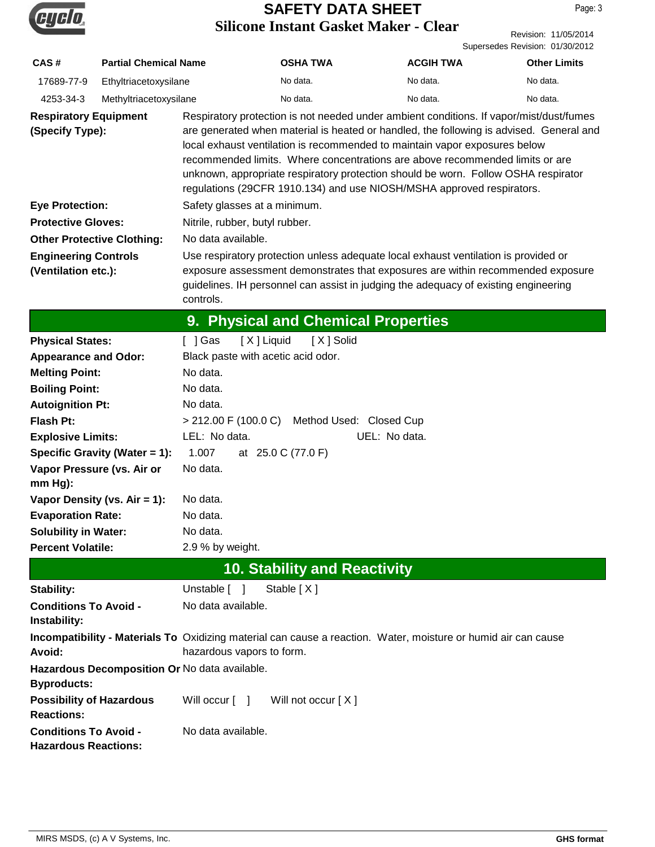

|                                 | Revision: 11/05/2014 |
|---------------------------------|----------------------|
| Supersedes Revision: 01/30/2012 |                      |

| CAS#                                                        | <b>Partial Chemical Name</b>                                 |                                                                                                                                                                                                                                                                                                                                                                                                                                                                                                                 | <b>OSHA TWA</b>                                                                                                | <b>ACGIH TWA</b> | <b>Other Limits</b> |
|-------------------------------------------------------------|--------------------------------------------------------------|-----------------------------------------------------------------------------------------------------------------------------------------------------------------------------------------------------------------------------------------------------------------------------------------------------------------------------------------------------------------------------------------------------------------------------------------------------------------------------------------------------------------|----------------------------------------------------------------------------------------------------------------|------------------|---------------------|
| 17689-77-9                                                  | Ethyltriacetoxysilane                                        |                                                                                                                                                                                                                                                                                                                                                                                                                                                                                                                 | No data.                                                                                                       | No data.         | No data.            |
| 4253-34-3                                                   | Methyltriacetoxysilane                                       |                                                                                                                                                                                                                                                                                                                                                                                                                                                                                                                 | No data.                                                                                                       | No data.         | No data.            |
| <b>Respiratory Equipment</b><br>(Specify Type):             |                                                              | Respiratory protection is not needed under ambient conditions. If vapor/mist/dust/fumes<br>are generated when material is heated or handled, the following is advised. General and<br>local exhaust ventilation is recommended to maintain vapor exposures below<br>recommended limits. Where concentrations are above recommended limits or are<br>unknown, appropriate respiratory protection should be worn. Follow OSHA respirator<br>regulations (29CFR 1910.134) and use NIOSH/MSHA approved respirators. |                                                                                                                |                  |                     |
| <b>Eye Protection:</b>                                      |                                                              | Safety glasses at a minimum.                                                                                                                                                                                                                                                                                                                                                                                                                                                                                    |                                                                                                                |                  |                     |
| <b>Protective Gloves:</b>                                   |                                                              | Nitrile, rubber, butyl rubber.                                                                                                                                                                                                                                                                                                                                                                                                                                                                                  |                                                                                                                |                  |                     |
|                                                             | <b>Other Protective Clothing:</b>                            | No data available.                                                                                                                                                                                                                                                                                                                                                                                                                                                                                              |                                                                                                                |                  |                     |
| <b>Engineering Controls</b>                                 |                                                              |                                                                                                                                                                                                                                                                                                                                                                                                                                                                                                                 | Use respiratory protection unless adequate local exhaust ventilation is provided or                            |                  |                     |
| (Ventilation etc.):                                         |                                                              | exposure assessment demonstrates that exposures are within recommended exposure<br>guidelines. IH personnel can assist in judging the adequacy of existing engineering<br>controls.                                                                                                                                                                                                                                                                                                                             |                                                                                                                |                  |                     |
|                                                             |                                                              |                                                                                                                                                                                                                                                                                                                                                                                                                                                                                                                 | 9. Physical and Chemical Properties                                                                            |                  |                     |
| <b>Physical States:</b>                                     |                                                              | [X] Liquid<br>[ ] Gas                                                                                                                                                                                                                                                                                                                                                                                                                                                                                           | [X ] Solid                                                                                                     |                  |                     |
| <b>Appearance and Odor:</b>                                 |                                                              | Black paste with acetic acid odor.                                                                                                                                                                                                                                                                                                                                                                                                                                                                              |                                                                                                                |                  |                     |
| <b>Melting Point:</b>                                       |                                                              | No data.                                                                                                                                                                                                                                                                                                                                                                                                                                                                                                        |                                                                                                                |                  |                     |
| <b>Boiling Point:</b>                                       |                                                              | No data.                                                                                                                                                                                                                                                                                                                                                                                                                                                                                                        |                                                                                                                |                  |                     |
|                                                             | No data.<br><b>Autoignition Pt:</b>                          |                                                                                                                                                                                                                                                                                                                                                                                                                                                                                                                 |                                                                                                                |                  |                     |
| <b>Flash Pt:</b>                                            |                                                              |                                                                                                                                                                                                                                                                                                                                                                                                                                                                                                                 | > 212.00 F (100.0 C) Method Used: Closed Cup                                                                   |                  |                     |
| <b>Explosive Limits:</b>                                    |                                                              | LEL: No data.<br>UEL: No data.                                                                                                                                                                                                                                                                                                                                                                                                                                                                                  |                                                                                                                |                  |                     |
|                                                             | 1.007<br>Specific Gravity (Water = 1):<br>at 25.0 C (77.0 F) |                                                                                                                                                                                                                                                                                                                                                                                                                                                                                                                 |                                                                                                                |                  |                     |
| Vapor Pressure (vs. Air or<br>$mm Hg$ :                     |                                                              | No data.                                                                                                                                                                                                                                                                                                                                                                                                                                                                                                        |                                                                                                                |                  |                     |
|                                                             | Vapor Density (vs. $Air = 1$ ):                              | No data.                                                                                                                                                                                                                                                                                                                                                                                                                                                                                                        |                                                                                                                |                  |                     |
| <b>Evaporation Rate:</b>                                    |                                                              | No data.                                                                                                                                                                                                                                                                                                                                                                                                                                                                                                        |                                                                                                                |                  |                     |
| <b>Solubility in Water:</b>                                 | No data.                                                     |                                                                                                                                                                                                                                                                                                                                                                                                                                                                                                                 |                                                                                                                |                  |                     |
| <b>Percent Volatile:</b>                                    |                                                              | 2.9 % by weight.                                                                                                                                                                                                                                                                                                                                                                                                                                                                                                |                                                                                                                |                  |                     |
| <b>10. Stability and Reactivity</b>                         |                                                              |                                                                                                                                                                                                                                                                                                                                                                                                                                                                                                                 |                                                                                                                |                  |                     |
| <b>Stability:</b>                                           |                                                              | Unstable [ ]                                                                                                                                                                                                                                                                                                                                                                                                                                                                                                    | Stable [X]                                                                                                     |                  |                     |
| <b>Conditions To Avoid -</b><br>Instability:                |                                                              | No data available.                                                                                                                                                                                                                                                                                                                                                                                                                                                                                              |                                                                                                                |                  |                     |
| <b>Avoid:</b>                                               |                                                              | hazardous vapors to form.                                                                                                                                                                                                                                                                                                                                                                                                                                                                                       | Incompatibility - Materials To Oxidizing material can cause a reaction. Water, moisture or humid air can cause |                  |                     |
| <b>Byproducts:</b>                                          |                                                              | Hazardous Decomposition Or No data available.                                                                                                                                                                                                                                                                                                                                                                                                                                                                   |                                                                                                                |                  |                     |
| <b>Possibility of Hazardous</b><br><b>Reactions:</b>        |                                                              | Will occur [ ]                                                                                                                                                                                                                                                                                                                                                                                                                                                                                                  | Will not occur [X]                                                                                             |                  |                     |
| <b>Conditions To Avoid -</b><br><b>Hazardous Reactions:</b> |                                                              | No data available.                                                                                                                                                                                                                                                                                                                                                                                                                                                                                              |                                                                                                                |                  |                     |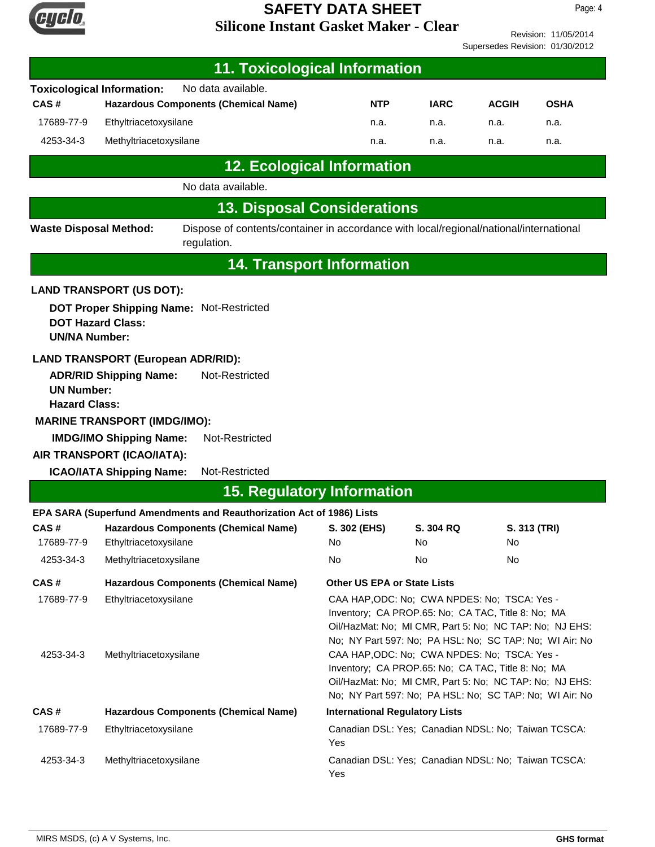

Revision: 11/05/2014 Supersedes Revision: 01/30/2012

| <b>11. Toxicological Information</b>      |                                                                                                                                                                         |                                                                                                       |                                                                                                                                                                                                                                                                |             |              |              |
|-------------------------------------------|-------------------------------------------------------------------------------------------------------------------------------------------------------------------------|-------------------------------------------------------------------------------------------------------|----------------------------------------------------------------------------------------------------------------------------------------------------------------------------------------------------------------------------------------------------------------|-------------|--------------|--------------|
|                                           | <b>Toxicological Information:</b>                                                                                                                                       | No data available.                                                                                    |                                                                                                                                                                                                                                                                |             |              |              |
| CAS#                                      |                                                                                                                                                                         | <b>Hazardous Components (Chemical Name)</b>                                                           | <b>NTP</b>                                                                                                                                                                                                                                                     | <b>IARC</b> | <b>ACGIH</b> | <b>OSHA</b>  |
| 17689-77-9                                | Ethyltriacetoxysilane                                                                                                                                                   |                                                                                                       | n.a.                                                                                                                                                                                                                                                           | n.a.        | n.a.         | n.a.         |
| 4253-34-3                                 | Methyltriacetoxysilane                                                                                                                                                  |                                                                                                       | n.a.                                                                                                                                                                                                                                                           | n.a.        | n.a.         | n.a.         |
|                                           |                                                                                                                                                                         | <b>12. Ecological Information</b>                                                                     |                                                                                                                                                                                                                                                                |             |              |              |
|                                           |                                                                                                                                                                         | No data available.                                                                                    |                                                                                                                                                                                                                                                                |             |              |              |
|                                           |                                                                                                                                                                         | <b>13. Disposal Considerations</b>                                                                    |                                                                                                                                                                                                                                                                |             |              |              |
| <b>Waste Disposal Method:</b>             |                                                                                                                                                                         | Dispose of contents/container in accordance with local/regional/national/international<br>regulation. |                                                                                                                                                                                                                                                                |             |              |              |
|                                           |                                                                                                                                                                         |                                                                                                       | <b>14. Transport Information</b>                                                                                                                                                                                                                               |             |              |              |
|                                           | <b>LAND TRANSPORT (US DOT):</b>                                                                                                                                         |                                                                                                       |                                                                                                                                                                                                                                                                |             |              |              |
| <b>UN/NA Number:</b>                      | <b>DOT Hazard Class:</b>                                                                                                                                                | <b>DOT Proper Shipping Name: Not-Restricted</b>                                                       |                                                                                                                                                                                                                                                                |             |              |              |
| <b>UN Number:</b><br><b>Hazard Class:</b> | <b>ADR/RID Shipping Name:</b><br><b>MARINE TRANSPORT (IMDG/IMO):</b><br><b>IMDG/IMO Shipping Name:</b><br>AIR TRANSPORT (ICAO/IATA):<br><b>ICAO/IATA Shipping Name:</b> | <b>LAND TRANSPORT (European ADR/RID):</b><br>Not-Restricted<br>Not-Restricted<br>Not-Restricted       |                                                                                                                                                                                                                                                                |             |              |              |
| <b>15. Regulatory Information</b>         |                                                                                                                                                                         |                                                                                                       |                                                                                                                                                                                                                                                                |             |              |              |
|                                           |                                                                                                                                                                         | EPA SARA (Superfund Amendments and Reauthorization Act of 1986) Lists                                 |                                                                                                                                                                                                                                                                |             |              |              |
| CAS#                                      |                                                                                                                                                                         | <b>Hazardous Components (Chemical Name)</b>                                                           | S. 302 (EHS)                                                                                                                                                                                                                                                   | S. 304 RQ   |              | S. 313 (TRI) |
| 17689-77-9<br>4253-34-3                   | Ethyltriacetoxysilane<br>Methyltriacetoxysilane                                                                                                                         |                                                                                                       | No<br>No                                                                                                                                                                                                                                                       | No<br>No    | No<br>No     |              |
|                                           |                                                                                                                                                                         |                                                                                                       |                                                                                                                                                                                                                                                                |             |              |              |
| CAS#<br>17689-77-9                        | Ethyltriacetoxysilane                                                                                                                                                   | <b>Hazardous Components (Chemical Name)</b>                                                           | <b>Other US EPA or State Lists</b><br>CAA HAP, ODC: No; CWA NPDES: No; TSCA: Yes -<br>Inventory; CA PROP.65: No; CA TAC, Title 8: No; MA<br>Oil/HazMat: No; MI CMR, Part 5: No; NC TAP: No; NJ EHS:<br>No; NY Part 597: No; PA HSL: No; SC TAP: No; WI Air: No |             |              |              |
| 4253-34-3                                 | Methyltriacetoxysilane                                                                                                                                                  |                                                                                                       | CAA HAP, ODC: No; CWA NPDES: No; TSCA: Yes -<br>Inventory; CA PROP.65: No; CA TAC, Title 8: No; MA<br>Oil/HazMat: No; MI CMR, Part 5: No; NC TAP: No; NJ EHS:<br>No; NY Part 597: No; PA HSL: No; SC TAP: No; WI Air: No                                       |             |              |              |
| CAS#                                      | <b>Hazardous Components (Chemical Name)</b>                                                                                                                             |                                                                                                       | <b>International Regulatory Lists</b>                                                                                                                                                                                                                          |             |              |              |
| 17689-77-9                                | Ethyltriacetoxysilane                                                                                                                                                   |                                                                                                       | Canadian DSL: Yes; Canadian NDSL: No; Taiwan TCSCA:<br>Yes                                                                                                                                                                                                     |             |              |              |
| 4253-34-3                                 | Methyltriacetoxysilane                                                                                                                                                  |                                                                                                       | Canadian DSL: Yes; Canadian NDSL: No; Taiwan TCSCA:<br>Yes                                                                                                                                                                                                     |             |              |              |